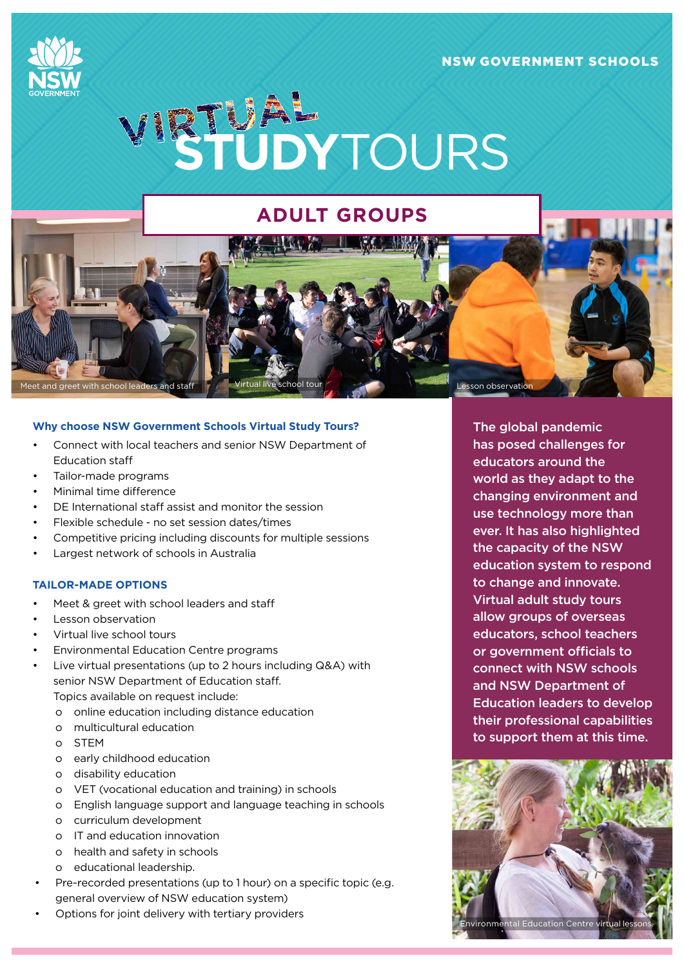## NSW GOVERNMENT SCHOOLS





# **ADULT GROUPS**

#### **Why choose NSW Government Schools Virtual Study Tours?**

- Connect with local teachers and senior NSW Department of Education staff
- Tailor-made programs
- Minimal time difference
- DE International staff assist and monitor the session
- Flexible schedule no set session dates/times
- Competitive pricing including discounts for multiple sessions
- Largest network of schools in Australia

## **TAILOR-MADE OPTIONS**

- Meet & greet with school leaders and staff
- Lesson observation
- Virtual live school tours
- Environmental Education Centre programs
- Live virtual presentations (up to 2 hours including Q&A) with senior NSW Department of Education staff.
	- Topics available on request include:
	- o online education including distance education
	- o multicultural education
	- o STEM
	- o early childhood education
	- o disability education
	- o VET (vocational education and training) in schools
	- o English language support and language teaching in schools
	- o curriculum development
	- o IT and education innovation
	- o health and safety in schools
	- o educational leadership.
- Pre-recorded presentations (up to 1 hour) on a specific topic (e.g. general overview of NSW education system)
- Options for joint delivery with tertiary providers

The global pandemic has posed challenges for educators around the world as they adapt to the changing environment and use technology more than ever. It has also highlighted the capacity of the NSW education system to respond to change and innovate. Virtual adult study tours allow groups of overseas educators, school teachers or government officials to connect with NSW schools and NSW Department of Education leaders to develop their professional capabilities to support them at this time.

esson observatic